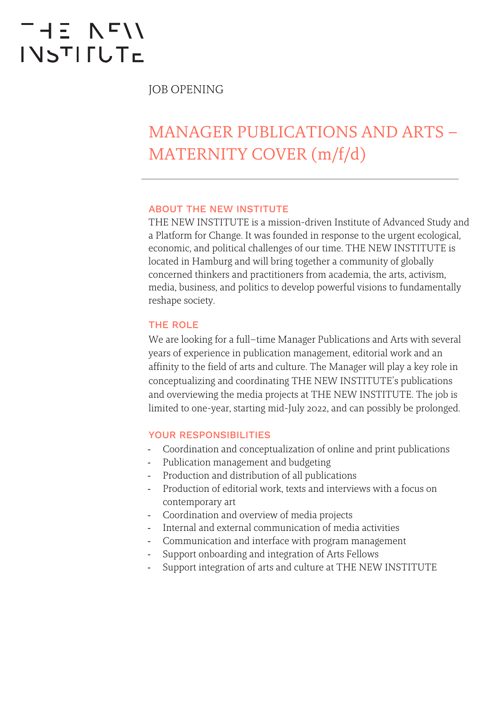# THE NFII **INSTIFUTE**

JOB OPENING

## MANAGER PUBLICATIONS AND ARTS – MATERNITY COVER (m/f/d)

#### ABOUT THE NEW INSTITUTE

THE NEW INSTITUTE is a mission-driven Institute of Advanced Study and a Platform for Change. It was founded in response to the urgent ecological, economic, and political challenges of our time. THE NEW INSTITUTE is located in Hamburg and will bring together a community of globally concerned thinkers and practitioners from academia, the arts, activism, media, business, and politics to develop powerful visions to fundamentally reshape society.

#### THE ROLE

We are looking for a full–time Manager Publications and Arts with several years of experience in publication management, editorial work and an affinity to the field of arts and culture. The Manager will play a key role in conceptualizing and coordinating THE NEW INSTITUTE's publications and overviewing the media projects at THE NEW INSTITUTE. The job is limited to one-year, starting mid-July 2022, and can possibly be prolonged.

#### YOUR RESPONSIBILITIES

- Coordination and conceptualization of online and print publications
- Publication management and budgeting
- Production and distribution of all publications
- Production of editorial work, texts and interviews with a focus on contemporary art
- Coordination and overview of media projects
- Internal and external communication of media activities
- Communication and interface with program management
- Support onboarding and integration of Arts Fellows
- Support integration of arts and culture at THE NEW INSTITUTE